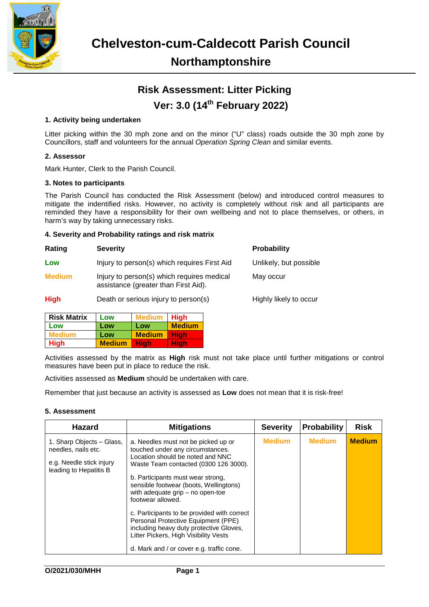

# **Risk Assessment: Litter Picking Ver: 3.0 (14th February 2022)**

## **1. Activity being undertaken**

Litter picking within the 30 mph zone and on the minor ("U" class) roads outside the 30 mph zone by Councillors, staff and volunteers for the annual *Operation Spring Clean* and similar events.

### **2. Assessor**

Mark Hunter, Clerk to the Parish Council.

#### **3. Notes to participants**

The Parish Council has conducted the Risk Assessment (below) and introduced control measures to mitigate the indentified risks. However, no activity is completely without risk and all participants are reminded they have a responsibility for their own wellbeing and not to place themselves, or others, in harm's way by taking unnecessary risks.

#### **4. Severity and Probability ratings and risk matrix**

| Rating        | <b>Severity</b>                                                                    | <b>Probability</b>     |
|---------------|------------------------------------------------------------------------------------|------------------------|
| Low           | Injury to person(s) which requires First Aid                                       | Unlikely, but possible |
| <b>Medium</b> | Injury to person(s) which requires medical<br>assistance (greater than First Aid). | May occur              |
| <b>High</b>   | Death or serious injury to person(s)                                               | Highly likely to occur |
|               |                                                                                    |                        |

| <b>Risk Matrix</b> | Low           | <b>Medium</b> | <b>High</b>   |
|--------------------|---------------|---------------|---------------|
| Low                | Low           | Low           | <b>Medium</b> |
| <b>Medium</b>      | Low           | <b>Medium</b> | <b>High</b>   |
| <b>High</b>        | <b>Medium</b> | Hiah          | Hiah          |

Activities assessed by the matrix as **High** risk must not take place until further mitigations or control measures have been put in place to reduce the risk.

Activities assessed as **Medium** should be undertaken with care.

Remember that just because an activity is assessed as **Low** does not mean that it is risk-free!

### **5. Assessment**

| <b>Hazard</b>                                                                                          | <b>Mitigations</b>                                                                                                                                                                                                                                                                                                                                                                                                                                                                                                    | <b>Severity</b> | Probability   | <b>Risk</b>   |
|--------------------------------------------------------------------------------------------------------|-----------------------------------------------------------------------------------------------------------------------------------------------------------------------------------------------------------------------------------------------------------------------------------------------------------------------------------------------------------------------------------------------------------------------------------------------------------------------------------------------------------------------|-----------------|---------------|---------------|
| 1. Sharp Objects - Glass,<br>needles, nails etc.<br>e.g. Needle stick injury<br>leading to Hepatitis B | a. Needles must not be picked up or<br>touched under any circumstances.<br>Location should be noted and NNC<br>Waste Team contacted (0300 126 3000).<br>b. Participants must wear strong,<br>sensible footwear (boots, Wellingtons)<br>with adequate $grip - no$ open-toe<br>footwear allowed.<br>c. Participants to be provided with correct<br>Personal Protective Equipment (PPE)<br>including heavy duty protective Gloves,<br>Litter Pickers, High Visibility Vests<br>d. Mark and / or cover e.g. traffic cone. | <b>Medium</b>   | <b>Medium</b> | <b>Medium</b> |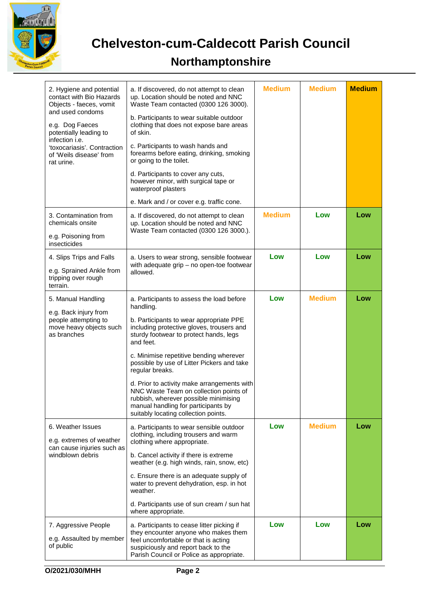

**Chelveston-cum-Caldecott Parish Council**

# **Northamptonshire**

| 2. Hygiene and potential<br>contact with Bio Hazards<br>Objects - faeces, vomit<br>and used condoms<br>e.g. Dog Faeces<br>potentially leading to<br>infection <i>i.e.</i><br>'toxocariasis'. Contraction<br>of 'Weils disease' from<br>rat urine. | a. If discovered, do not attempt to clean<br>up. Location should be noted and NNC<br>Waste Team contacted (0300 126 3000).<br>b. Participants to wear suitable outdoor<br>clothing that does not expose bare areas<br>of skin.<br>c. Participants to wash hands and<br>forearms before eating, drinking, smoking<br>or going to the toilet.<br>d. Participants to cover any cuts,<br>however minor, with surgical tape or<br>waterproof plasters<br>e. Mark and / or cover e.g. traffic cone.                                      | <b>Medium</b> | <b>Medium</b> | <b>Medium</b> |
|---------------------------------------------------------------------------------------------------------------------------------------------------------------------------------------------------------------------------------------------------|------------------------------------------------------------------------------------------------------------------------------------------------------------------------------------------------------------------------------------------------------------------------------------------------------------------------------------------------------------------------------------------------------------------------------------------------------------------------------------------------------------------------------------|---------------|---------------|---------------|
| 3. Contamination from<br>chemicals onsite<br>e.g. Poisoning from<br>insecticides                                                                                                                                                                  | a. If discovered, do not attempt to clean<br>up. Location should be noted and NNC<br>Waste Team contacted (0300 126 3000.).                                                                                                                                                                                                                                                                                                                                                                                                        | <b>Medium</b> | Low           | Low           |
| 4. Slips Trips and Falls<br>e.g. Sprained Ankle from<br>tripping over rough<br>terrain.                                                                                                                                                           | a. Users to wear strong, sensible footwear<br>with adequate grip - no open-toe footwear<br>allowed.                                                                                                                                                                                                                                                                                                                                                                                                                                | Low           | Low           | Low           |
| 5. Manual Handling<br>e.g. Back injury from<br>people attempting to<br>move heavy objects such<br>as branches                                                                                                                                     | a. Participants to assess the load before<br>handling.<br>b. Participants to wear appropriate PPE<br>including protective gloves, trousers and<br>sturdy footwear to protect hands, legs<br>and feet.<br>c. Minimise repetitive bending wherever<br>possible by use of Litter Pickers and take<br>regular breaks.<br>d. Prior to activity make arrangements with<br>NNC Waste Team on collection points of<br>rubbish, wherever possible minimising<br>manual handling for participants by<br>suitably locating collection points. | Low           | <b>Medium</b> | Low           |
| 6. Weather Issues<br>e.g. extremes of weather<br>can cause injuries such as<br>windblown debris                                                                                                                                                   | a. Participants to wear sensible outdoor<br>clothing, including trousers and warm<br>clothing where appropriate.<br>b. Cancel activity if there is extreme<br>weather (e.g. high winds, rain, snow, etc)<br>c. Ensure there is an adequate supply of<br>water to prevent dehydration, esp. in hot<br>weather.<br>d. Participants use of sun cream / sun hat<br>where appropriate.                                                                                                                                                  | Low           | <b>Medium</b> | Low           |
| 7. Aggressive People<br>e.g. Assaulted by member<br>of public                                                                                                                                                                                     | a. Participants to cease litter picking if<br>they encounter anyone who makes them<br>feel uncomfortable or that is acting<br>suspiciously and report back to the<br>Parish Council or Police as appropriate.                                                                                                                                                                                                                                                                                                                      | Low           | Low           | Low           |